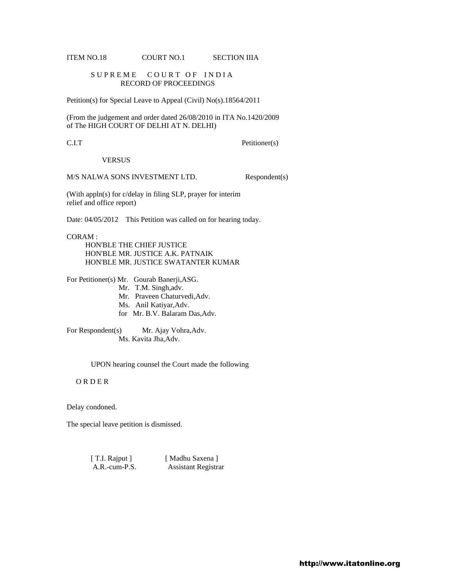ITEM NO.18 COURT NO.1 SECTION IIIA

### SUPREME COURT OF INDIA RECORD OF PROCEEDINGS

Petition(s) for Special Leave to Appeal (Civil) No(s).18564/2011

(From the judgement and order dated 26/08/2010 in ITA No.1420/2009 of The HIGH COURT OF DELHI AT N. DELHI)

C.I.T Petitioner(s)

### **VERSUS**

M/S NALWA SONS INVESTMENT LTD. Respondent(s)

(With appln(s) for c/delay in filing SLP, prayer for interim relief and office report)

Date: 04/05/2012 This Petition was called on for hearing today.

CORAM :

 HON'BLE THE CHIEF JUSTICE HON'BLE MR. JUSTICE A.K. PATNAIK HON'BLE MR. JUSTICE SWATANTER KUMAR

For Petitioner(s) Mr. Gourab Banerji,ASG.

Mr. T.M. Singh,adv.

Mr. Praveen Chaturvedi,Adv.

- Ms. Anil Katiyar,Adv.
- for Mr. B.V. Balaram Das,Adv.

For Respondent(s) Mr. Ajay Vohra, Adv. Ms. Kavita Jha,Adv.

UPON hearing counsel the Court made the following

O R D E R

Delay condoned.

The special leave petition is dismissed.

[ T.I. Rajput ] [ Madhu Saxena ] A.R.-cum-P.S. Assistant Registrar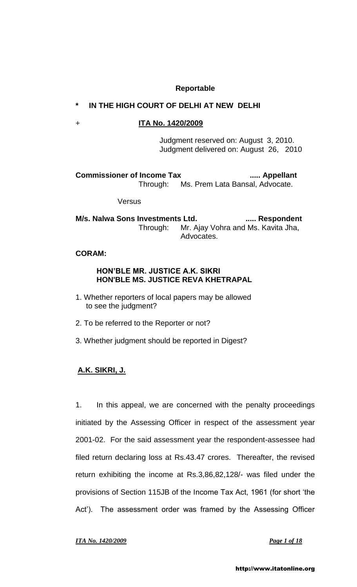## **Reportable**

## **\* IN THE HIGH COURT OF DELHI AT NEW DELHI**

## + **ITA No. 1420/2009**

Judgment reserved on: August 3, 2010. Judgment delivered on: August 26, 2010

**Commissioner of Income Tax ..... Appellant**  Through: Ms. Prem Lata Bansal, Advocate.

Versus

**M/s. Nalwa Sons Investments Ltd. ..... Respondent** Through: Mr. Ajay Vohra and Ms. Kavita Jha, Advocates.

## **CORAM:**

## **HON'BLE MR. JUSTICE A.K. SIKRI HON'BLE MS. JUSTICE REVA KHETRAPAL**

- 1. Whether reporters of local papers may be allowed to see the judgment?
- 2. To be referred to the Reporter or not?
- 3. Whether judgment should be reported in Digest?

# **A.K. SIKRI, J.**

1. In this appeal, we are concerned with the penalty proceedings initiated by the Assessing Officer in respect of the assessment year 2001-02. For the said assessment year the respondent-assessee had filed return declaring loss at Rs.43.47 crores. Thereafter, the revised return exhibiting the income at Rs.3,86,82,128/- was filed under the provisions of Section 115JB of the Income Tax Act, 1961 (for short "the Act'). The assessment order was framed by the Assessing Officer

*ITA No. 1420/2009 Page 1 of 18*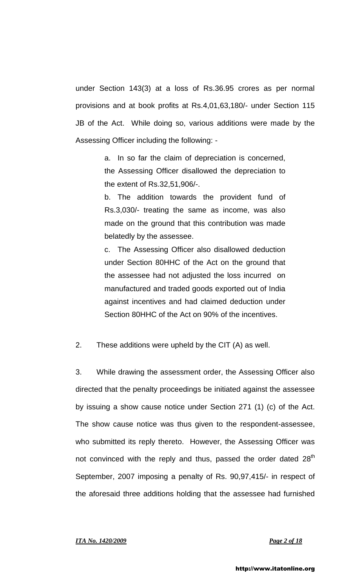under Section 143(3) at a loss of Rs.36.95 crores as per normal provisions and at book profits at Rs.4,01,63,180/- under Section 115 JB of the Act. While doing so, various additions were made by the Assessing Officer including the following: -

> a. In so far the claim of depreciation is concerned, the Assessing Officer disallowed the depreciation to the extent of Rs.32,51,906/-.

> b. The addition towards the provident fund of Rs.3,030/- treating the same as income, was also made on the ground that this contribution was made belatedly by the assessee.

> c. The Assessing Officer also disallowed deduction under Section 80HHC of the Act on the ground that the assessee had not adjusted the loss incurred on manufactured and traded goods exported out of India against incentives and had claimed deduction under Section 80HHC of the Act on 90% of the incentives.

2. These additions were upheld by the CIT (A) as well.

3. While drawing the assessment order, the Assessing Officer also directed that the penalty proceedings be initiated against the assessee by issuing a show cause notice under Section 271 (1) (c) of the Act. The show cause notice was thus given to the respondent-assessee, who submitted its reply thereto. However, the Assessing Officer was not convinced with the reply and thus, passed the order dated  $28<sup>th</sup>$ September, 2007 imposing a penalty of Rs. 90,97,415/- in respect of the aforesaid three additions holding that the assessee had furnished

*ITA No. 1420/2009 Page 2 of 18*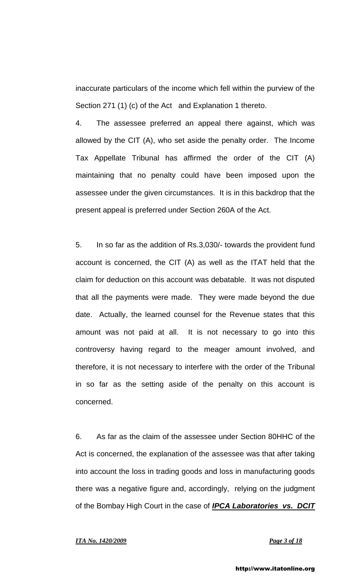inaccurate particulars of the income which fell within the purview of the Section 271 (1) (c) of the Act and Explanation 1 thereto.

4. The assessee preferred an appeal there against, which was allowed by the CIT (A), who set aside the penalty order. The Income Tax Appellate Tribunal has affirmed the order of the CIT (A) maintaining that no penalty could have been imposed upon the assessee under the given circumstances. It is in this backdrop that the present appeal is preferred under Section 260A of the Act.

5. In so far as the addition of Rs.3,030/- towards the provident fund account is concerned, the CIT (A) as well as the ITAT held that the claim for deduction on this account was debatable. It was not disputed that all the payments were made. They were made beyond the due date. Actually, the learned counsel for the Revenue states that this amount was not paid at all. It is not necessary to go into this controversy having regard to the meager amount involved, and therefore, it is not necessary to interfere with the order of the Tribunal in so far as the setting aside of the penalty on this account is concerned.

6. As far as the claim of the assessee under Section 80HHC of the Act is concerned, the explanation of the assessee was that after taking into account the loss in trading goods and loss in manufacturing goods there was a negative figure and, accordingly, relying on the judgment of the Bombay High Court in the case of *IPCA Laboratories vs. DCIT*

*ITA No. 1420/2009 Page 3 of 18*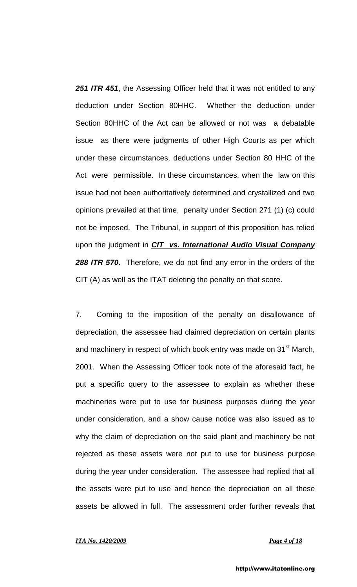*251 ITR 451*, the Assessing Officer held that it was not entitled to any deduction under Section 80HHC. Whether the deduction under Section 80HHC of the Act can be allowed or not was a debatable issue as there were judgments of other High Courts as per which under these circumstances, deductions under Section 80 HHC of the Act were permissible. In these circumstances, when the law on this issue had not been authoritatively determined and crystallized and two opinions prevailed at that time, penalty under Section 271 (1) (c) could not be imposed. The Tribunal, in support of this proposition has relied upon the judgment in *CIT vs. International Audio Visual Company 288 ITR 570*. Therefore, we do not find any error in the orders of the CIT (A) as well as the ITAT deleting the penalty on that score.

7. Coming to the imposition of the penalty on disallowance of depreciation, the assessee had claimed depreciation on certain plants and machinery in respect of which book entry was made on 31<sup>st</sup> March, 2001. When the Assessing Officer took note of the aforesaid fact, he put a specific query to the assessee to explain as whether these machineries were put to use for business purposes during the year under consideration, and a show cause notice was also issued as to why the claim of depreciation on the said plant and machinery be not rejected as these assets were not put to use for business purpose during the year under consideration. The assessee had replied that all the assets were put to use and hence the depreciation on all these assets be allowed in full. The assessment order further reveals that

*ITA No. 1420/2009 Page 4 of 18*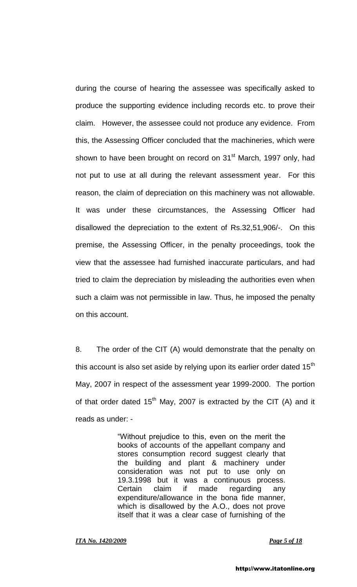during the course of hearing the assessee was specifically asked to produce the supporting evidence including records etc. to prove their claim. However, the assessee could not produce any evidence. From this, the Assessing Officer concluded that the machineries, which were shown to have been brought on record on 31<sup>st</sup> March, 1997 only, had not put to use at all during the relevant assessment year. For this reason, the claim of depreciation on this machinery was not allowable. It was under these circumstances, the Assessing Officer had disallowed the depreciation to the extent of Rs.32,51,906/-. On this premise, the Assessing Officer, in the penalty proceedings, took the view that the assessee had furnished inaccurate particulars, and had tried to claim the depreciation by misleading the authorities even when such a claim was not permissible in law. Thus, he imposed the penalty on this account.

8. The order of the CIT (A) would demonstrate that the penalty on this account is also set aside by relying upon its earlier order dated  $15<sup>th</sup>$ May, 2007 in respect of the assessment year 1999-2000. The portion of that order dated  $15<sup>th</sup>$  May, 2007 is extracted by the CIT (A) and it reads as under: -

> "Without prejudice to this, even on the merit the books of accounts of the appellant company and stores consumption record suggest clearly that the building and plant & machinery under consideration was not put to use only on 19.3.1998 but it was a continuous process. Certain claim if made regarding any expenditure/allowance in the bona fide manner, which is disallowed by the A.O., does not prove itself that it was a clear case of furnishing of the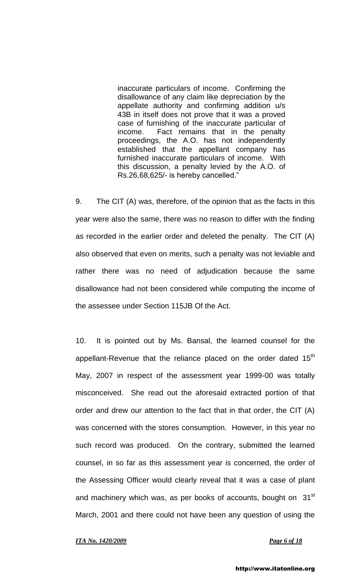inaccurate particulars of income. Confirming the disallowance of any claim like depreciation by the appellate authority and confirming addition u/s 43B in itself does not prove that it was a proved case of furnishing of the inaccurate particular of income. Fact remains that in the penalty proceedings, the A.O. has not independently established that the appellant company has furnished inaccurate particulars of income. With this discussion, a penalty levied by the A.O. of Rs.26,68,625/- is hereby cancelled."

9. The CIT (A) was, therefore, of the opinion that as the facts in this year were also the same, there was no reason to differ with the finding as recorded in the earlier order and deleted the penalty. The CIT (A) also observed that even on merits, such a penalty was not leviable and rather there was no need of adjudication because the same disallowance had not been considered while computing the income of the assessee under Section 115JB Of the Act.

10. It is pointed out by Ms. Bansal, the learned counsel for the appellant-Revenue that the reliance placed on the order dated  $15<sup>th</sup>$ May, 2007 in respect of the assessment year 1999-00 was totally misconceived. She read out the aforesaid extracted portion of that order and drew our attention to the fact that in that order, the CIT (A) was concerned with the stores consumption. However, in this year no such record was produced. On the contrary, submitted the learned counsel, in so far as this assessment year is concerned, the order of the Assessing Officer would clearly reveal that it was a case of plant and machinery which was, as per books of accounts, bought on 31<sup>st</sup> March, 2001 and there could not have been any question of using the

## *ITA No. 1420/2009 Page 6 of 18*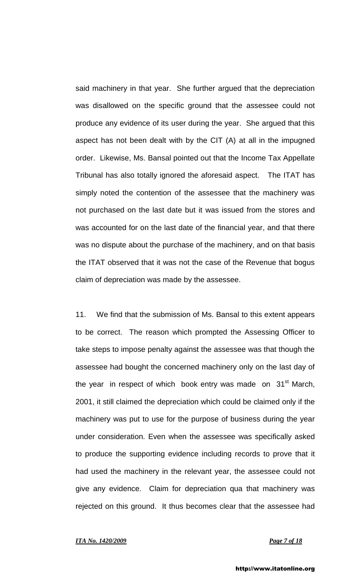said machinery in that year. She further argued that the depreciation was disallowed on the specific ground that the assessee could not produce any evidence of its user during the year. She argued that this aspect has not been dealt with by the CIT (A) at all in the impugned order. Likewise, Ms. Bansal pointed out that the Income Tax Appellate Tribunal has also totally ignored the aforesaid aspect. The ITAT has simply noted the contention of the assessee that the machinery was not purchased on the last date but it was issued from the stores and was accounted for on the last date of the financial year, and that there was no dispute about the purchase of the machinery, and on that basis the ITAT observed that it was not the case of the Revenue that bogus claim of depreciation was made by the assessee.

11. We find that the submission of Ms. Bansal to this extent appears to be correct. The reason which prompted the Assessing Officer to take steps to impose penalty against the assessee was that though the assessee had bought the concerned machinery only on the last day of the year in respect of which book entry was made on  $31<sup>st</sup>$  March, 2001, it still claimed the depreciation which could be claimed only if the machinery was put to use for the purpose of business during the year under consideration. Even when the assessee was specifically asked to produce the supporting evidence including records to prove that it had used the machinery in the relevant year, the assessee could not give any evidence. Claim for depreciation qua that machinery was rejected on this ground. It thus becomes clear that the assessee had

## *ITA No. 1420/2009 Page 7 of 18*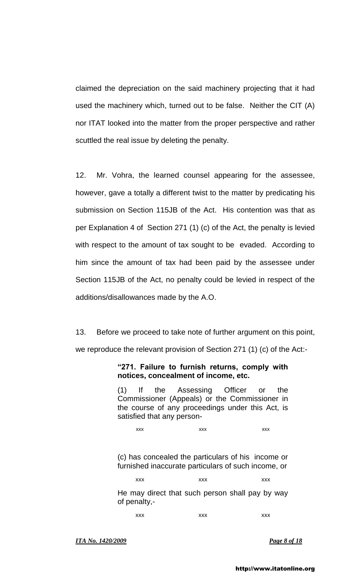claimed the depreciation on the said machinery projecting that it had used the machinery which, turned out to be false. Neither the CIT (A) nor ITAT looked into the matter from the proper perspective and rather scuttled the real issue by deleting the penalty.

12. Mr. Vohra, the learned counsel appearing for the assessee, however, gave a totally a different twist to the matter by predicating his submission on Section 115JB of the Act. His contention was that as per Explanation 4 of Section 271 (1) (c) of the Act, the penalty is levied with respect to the amount of tax sought to be evaded. According to him since the amount of tax had been paid by the assessee under Section 115JB of the Act, no penalty could be levied in respect of the additions/disallowances made by the A.O.

13. Before we proceed to take note of further argument on this point, we reproduce the relevant provision of Section 271 (1) (c) of the Act:-

## **"271. Failure to furnish returns, comply with notices, concealment of income, etc.**

(1) If the Assessing Officer or the Commissioner (Appeals) or the Commissioner in the course of any proceedings under this Act, is satisfied that any person-

xxx xxx xxx xxx

(c) has concealed the particulars of his income or furnished inaccurate particulars of such income, or

xxx xxx xxx xxx xxx

He may direct that such person shall pay by way of penalty,-

xxx xxx xxx xxx xxx

*ITA No. 1420/2009 Page 8 of 18*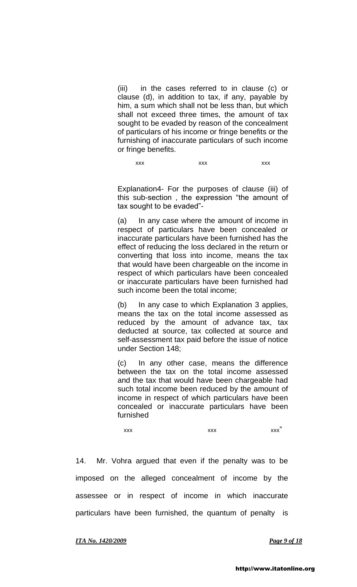(iii) in the cases referred to in clause (c) or clause (d), in addition to tax, if any, payable by him, a sum which shall not be less than, but which shall not exceed three times, the amount of tax sought to be evaded by reason of the concealment of particulars of his income or fringe benefits or the furnishing of inaccurate particulars of such income or fringe benefits.

xxx xxx xxx xxx xxx

Explanation4- For the purposes of clause (iii) of this sub-section , the expression "the amount of tax sought to be evaded"-

(a) In any case where the amount of income in respect of particulars have been concealed or inaccurate particulars have been furnished has the effect of reducing the loss declared in the return or converting that loss into income, means the tax that would have been chargeable on the income in respect of which particulars have been concealed or inaccurate particulars have been furnished had such income been the total income;

(b) In any case to which Explanation 3 applies, means the tax on the total income assessed as reduced by the amount of advance tax, tax deducted at source, tax collected at source and self-assessment tax paid before the issue of notice under Section 148;

(c) In any other case, means the difference between the tax on the total income assessed and the tax that would have been chargeable had such total income been reduced by the amount of income in respect of which particulars have been concealed or inaccurate particulars have been furnished

 $\begin{array}{ccc} \mathsf{xxx} & \mathsf{xxxx} \end{array}$ 

14. Mr. Vohra argued that even if the penalty was to be imposed on the alleged concealment of income by the assessee or in respect of income in which inaccurate particulars have been furnished, the quantum of penalty is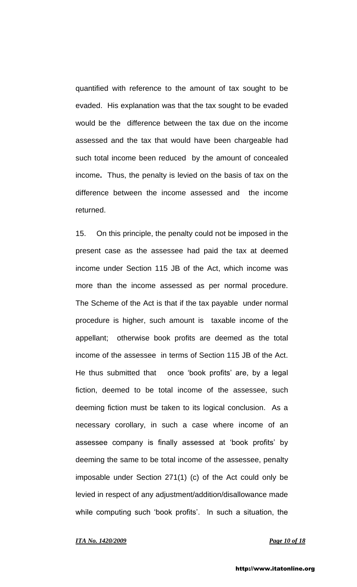quantified with reference to the amount of tax sought to be evaded. His explanation was that the tax sought to be evaded would be the difference between the tax due on the income assessed and the tax that would have been chargeable had such total income been reduced by the amount of concealed income**.** Thus, the penalty is levied on the basis of tax on the difference between the income assessed and the income returned.

15. On this principle, the penalty could not be imposed in the present case as the assessee had paid the tax at deemed income under Section 115 JB of the Act, which income was more than the income assessed as per normal procedure. The Scheme of the Act is that if the tax payable under normal procedure is higher, such amount is taxable income of the appellant; otherwise book profits are deemed as the total income of the assessee in terms of Section 115 JB of the Act. He thus submitted that once 'book profits' are, by a legal fiction, deemed to be total income of the assessee, such deeming fiction must be taken to its logical conclusion. As a necessary corollary, in such a case where income of an assessee company is finally assessed at "book profits" by deeming the same to be total income of the assessee, penalty imposable under Section 271(1) (c) of the Act could only be levied in respect of any adjustment/addition/disallowance made while computing such 'book profits'. In such a situation, the

*<i>ITA No. 1420/2009* Page 10 of 18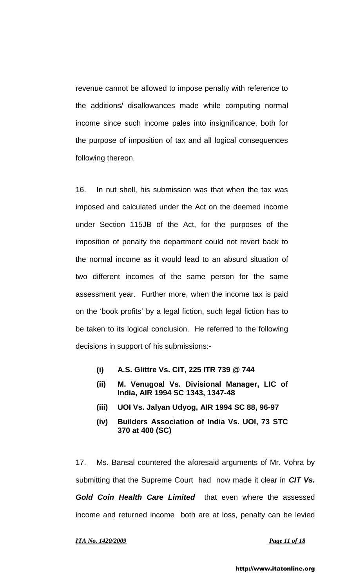revenue cannot be allowed to impose penalty with reference to the additions/ disallowances made while computing normal income since such income pales into insignificance, both for the purpose of imposition of tax and all logical consequences following thereon.

16. In nut shell, his submission was that when the tax was imposed and calculated under the Act on the deemed income under Section 115JB of the Act, for the purposes of the imposition of penalty the department could not revert back to the normal income as it would lead to an absurd situation of two different incomes of the same person for the same assessment year. Further more, when the income tax is paid on the "book profits" by a legal fiction, such legal fiction has to be taken to its logical conclusion. He referred to the following decisions in support of his submissions:-

- **(i) A.S. Glittre Vs. CIT, 225 ITR 739 @ 744**
- **(ii) M. Venugoal Vs. Divisional Manager, LIC of India, AIR 1994 SC 1343, 1347-48**
- **(iii) UOI Vs. Jalyan Udyog, AIR 1994 SC 88, 96-97**
- **(iv) Builders Association of India Vs. UOI, 73 STC 370 at 400 (SC)**

17. Ms. Bansal countered the aforesaid arguments of Mr. Vohra by submitting that the Supreme Court had now made it clear in *CIT Vs. Gold Coin Health Care Limited* that even where the assessed income and returned income both are at loss, penalty can be levied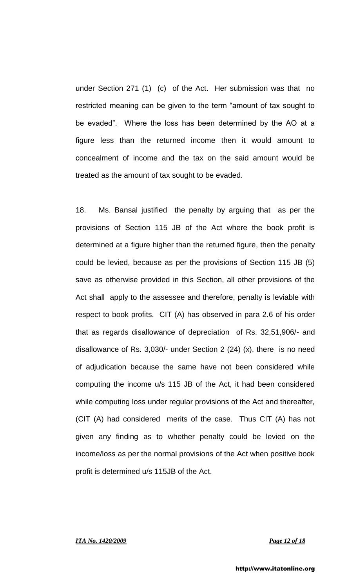under Section 271 (1) (c) of the Act. Her submission was that no restricted meaning can be given to the term "amount of tax sought to be evaded". Where the loss has been determined by the AO at a figure less than the returned income then it would amount to concealment of income and the tax on the said amount would be treated as the amount of tax sought to be evaded.

18. Ms. Bansal justified the penalty by arguing that as per the provisions of Section 115 JB of the Act where the book profit is determined at a figure higher than the returned figure, then the penalty could be levied, because as per the provisions of Section 115 JB (5) save as otherwise provided in this Section, all other provisions of the Act shall apply to the assessee and therefore, penalty is leviable with respect to book profits. CIT (A) has observed in para 2.6 of his order that as regards disallowance of depreciation of Rs. 32,51,906/- and disallowance of Rs. 3,030/- under Section 2 (24) (x), there is no need of adjudication because the same have not been considered while computing the income u/s 115 JB of the Act, it had been considered while computing loss under regular provisions of the Act and thereafter, (CIT (A) had considered merits of the case. Thus CIT (A) has not given any finding as to whether penalty could be levied on the income/loss as per the normal provisions of the Act when positive book profit is determined u/s 115JB of the Act.

*ITA No. 1420/2009 Page 12 of 18*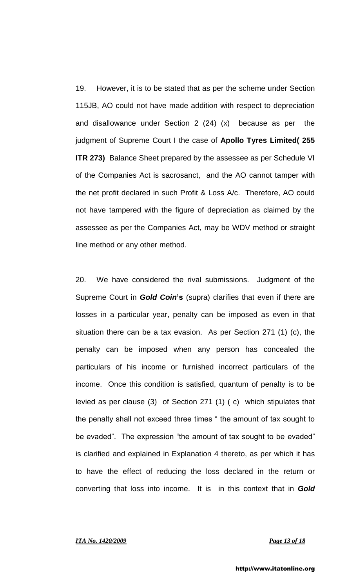19. However, it is to be stated that as per the scheme under Section 115JB, AO could not have made addition with respect to depreciation and disallowance under Section 2 (24) (x) because as per the judgment of Supreme Court I the case of **Apollo Tyres Limited( 255 ITR 273)** Balance Sheet prepared by the assessee as per Schedule VI of the Companies Act is sacrosanct, and the AO cannot tamper with the net profit declared in such Profit & Loss A/c. Therefore, AO could not have tampered with the figure of depreciation as claimed by the assessee as per the Companies Act, may be WDV method or straight line method or any other method.

20. We have considered the rival submissions. Judgment of the Supreme Court in *Gold Coin***'s** (supra) clarifies that even if there are losses in a particular year, penalty can be imposed as even in that situation there can be a tax evasion. As per Section 271 (1) (c), the penalty can be imposed when any person has concealed the particulars of his income or furnished incorrect particulars of the income. Once this condition is satisfied, quantum of penalty is to be levied as per clause (3) of Section 271 (1) ( c) which stipulates that the penalty shall not exceed three times " the amount of tax sought to be evaded". The expression "the amount of tax sought to be evaded" is clarified and explained in Explanation 4 thereto, as per which it has to have the effect of reducing the loss declared in the return or converting that loss into income. It is in this context that in *Gold* 

*ITA No. 1420/2009 Page 13 of 18*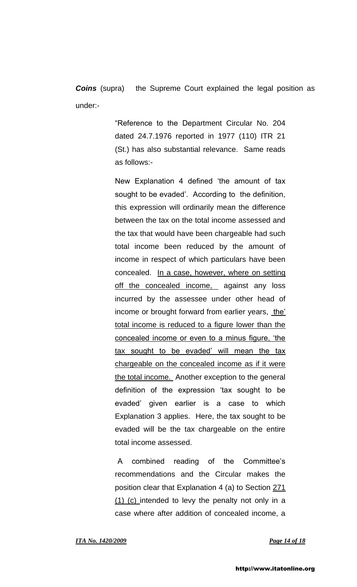**Coins** (supra) the Supreme Court explained the legal position as under:-

> "Reference to the Department Circular No. 204 dated 24.7.1976 reported in 1977 (110) ITR 21 (St.) has also substantial relevance. Same reads as follows:-

> New Explanation 4 defined "the amount of tax sought to be evaded'. According to the definition, this expression will ordinarily mean the difference between the tax on the total income assessed and the tax that would have been chargeable had such total income been reduced by the amount of income in respect of which particulars have been concealed. In a case, however, where on setting off the concealed income, against any loss incurred by the assessee under other head of income or brought forward from earlier years, the' total income is reduced to a figure lower than the concealed income or even to a minus figure, "the tax sought to be evaded' will mean the tax chargeable on the concealed income as if it were the total income. Another exception to the general definition of the expression "tax sought to be evaded" given earlier is a case to which Explanation 3 applies. Here, the tax sought to be evaded will be the tax chargeable on the entire total income assessed.

> A combined reading of the Committee"s recommendations and the Circular makes the position clear that Explanation 4 (a) to Section 271 (1) (c) intended to levy the penalty not only in a case where after addition of concealed income, a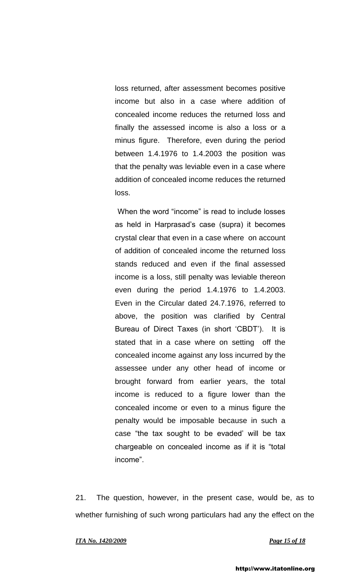loss returned, after assessment becomes positive income but also in a case where addition of concealed income reduces the returned loss and finally the assessed income is also a loss or a minus figure. Therefore, even during the period between 1.4.1976 to 1.4.2003 the position was that the penalty was leviable even in a case where addition of concealed income reduces the returned loss.

When the word "income" is read to include losses as held in Harprasad"s case (supra) it becomes crystal clear that even in a case where on account of addition of concealed income the returned loss stands reduced and even if the final assessed income is a loss, still penalty was leviable thereon even during the period 1.4.1976 to 1.4.2003. Even in the Circular dated 24.7.1976, referred to above, the position was clarified by Central Bureau of Direct Taxes (in short "CBDT"). It is stated that in a case where on setting off the concealed income against any loss incurred by the assessee under any other head of income or brought forward from earlier years, the total income is reduced to a figure lower than the concealed income or even to a minus figure the penalty would be imposable because in such a case "the tax sought to be evaded' will be tax chargeable on concealed income as if it is "total income".

21. The question, however, in the present case, would be, as to whether furnishing of such wrong particulars had any the effect on the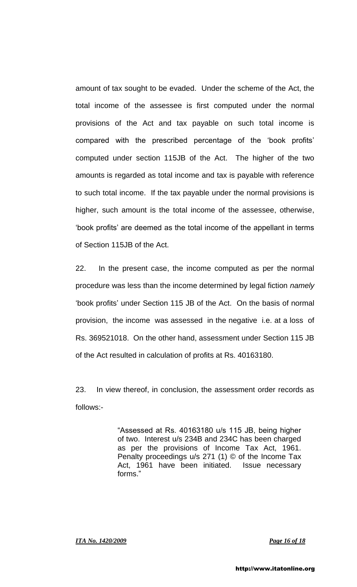amount of tax sought to be evaded. Under the scheme of the Act, the total income of the assessee is first computed under the normal provisions of the Act and tax payable on such total income is compared with the prescribed percentage of the "book profits" computed under section 115JB of the Act. The higher of the two amounts is regarded as total income and tax is payable with reference to such total income. If the tax payable under the normal provisions is higher, such amount is the total income of the assessee, otherwise, "book profits" are deemed as the total income of the appellant in terms of Section 115JB of the Act.

22. In the present case, the income computed as per the normal procedure was less than the income determined by legal fiction *namely* "book profits" under Section 115 JB of the Act. On the basis of normal provision, the income was assessed in the negative i.e. at a loss of Rs. 369521018. On the other hand, assessment under Section 115 JB of the Act resulted in calculation of profits at Rs. 40163180.

23. In view thereof, in conclusion, the assessment order records as follows:-

> "Assessed at Rs. 40163180 u/s 115 JB, being higher of two. Interest u/s 234B and 234C has been charged as per the provisions of Income Tax Act, 1961. Penalty proceedings u/s 271 (1) © of the Income Tax Act, 1961 have been initiated. Issue necessary forms."

*ITA No. 1420/2009 Page 16 of 18*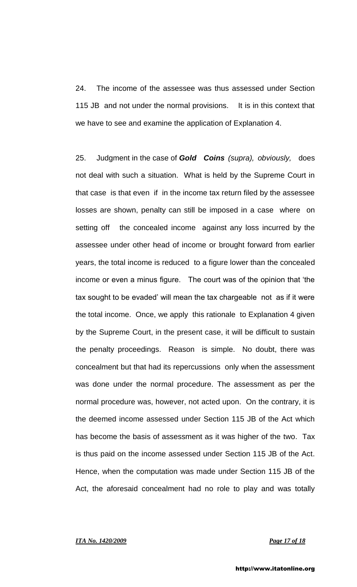24. The income of the assessee was thus assessed under Section 115 JB and not under the normal provisions. It is in this context that we have to see and examine the application of Explanation 4.

25. Judgment in the case of *Gold Coins (supra), obviously,* does not deal with such a situation. What is held by the Supreme Court in that case is that even if in the income tax return filed by the assessee losses are shown, penalty can still be imposed in a case where on setting off the concealed income against any loss incurred by the assessee under other head of income or brought forward from earlier years, the total income is reduced to a figure lower than the concealed income or even a minus figure. The court was of the opinion that "the tax sought to be evaded" will mean the tax chargeable not as if it were the total income. Once, we apply this rationale to Explanation 4 given by the Supreme Court, in the present case, it will be difficult to sustain the penalty proceedings. Reason is simple. No doubt, there was concealment but that had its repercussions only when the assessment was done under the normal procedure. The assessment as per the normal procedure was, however, not acted upon. On the contrary, it is the deemed income assessed under Section 115 JB of the Act which has become the basis of assessment as it was higher of the two. Tax is thus paid on the income assessed under Section 115 JB of the Act. Hence, when the computation was made under Section 115 JB of the Act, the aforesaid concealment had no role to play and was totally

*<i>ITA No. 1420/2009* Page 17 of 18